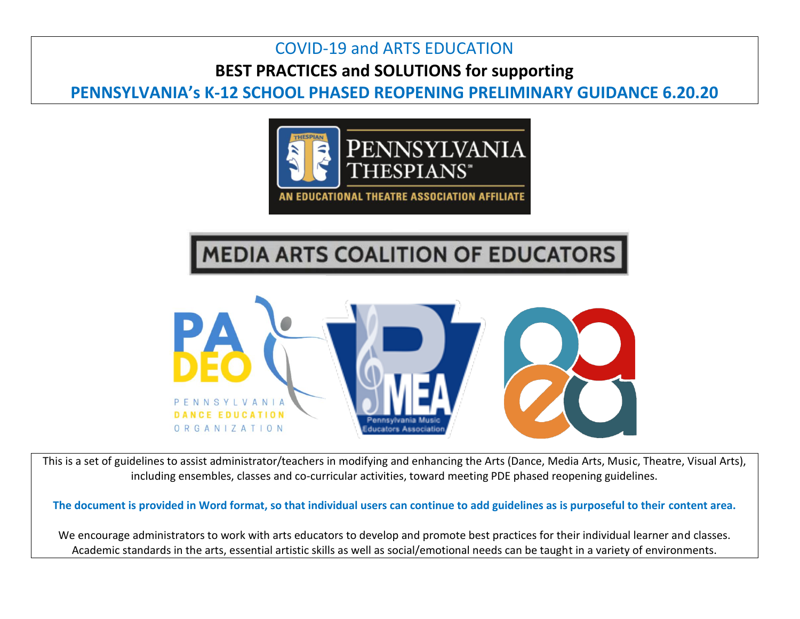## COVID-19 and ARTS EDUCATION **BEST PRACTICES and SOLUTIONS for supporting**

## **PENNSYLVANIA's K-12 SCHOOL PHASED REOPENING PRELIMINARY GUIDANCE 6.20.20**



## **MEDIA ARTS COALITION OF EDUCATORS**



This is a set of guidelines to assist administrator/teachers in modifying and enhancing the Arts (Dance, Media Arts, Music, Theatre, Visual Arts), including ensembles, classes and co-curricular activities, toward meeting PDE phased reopening guidelines.

**The document is provided in Word format, so that individual users can continue to add guidelines as is purposeful to their content area.**

We encourage administrators to work with arts educators to develop and promote best practices for their individual learner and classes. Academic standards in the arts, essential artistic skills as well as social/emotional needs can be taught in a variety of environments.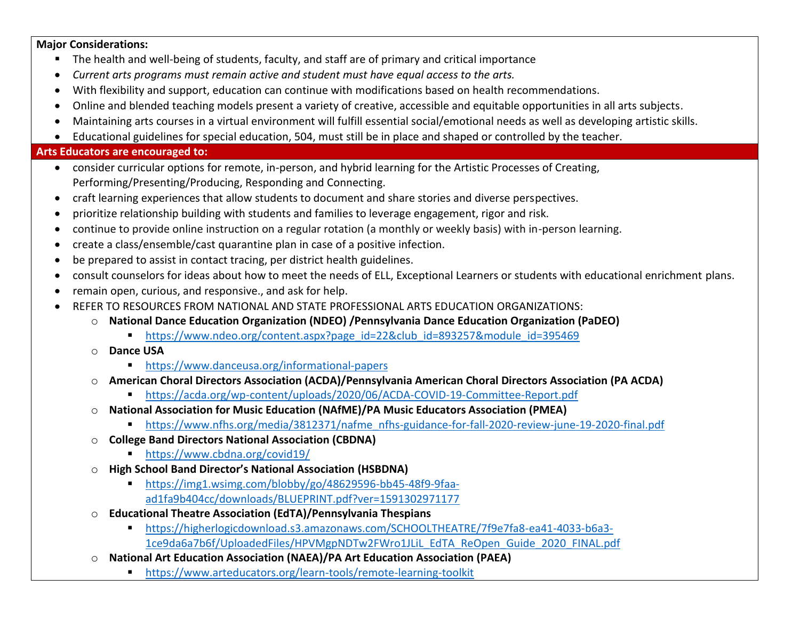**Major Considerations:**

- The health and well-being of students, faculty, and staff are of primary and critical importance
- *Current arts programs must remain active and student must have equal access to the arts.*
- With flexibility and support, education can continue with modifications based on health recommendations.
- Online and blended teaching models present a variety of creative, accessible and equitable opportunities in all arts subjects.
- Maintaining arts courses in a virtual environment will fulfill essential social/emotional needs as well as developing artistic skills.
- Educational guidelines for special education, 504, must still be in place and shaped or controlled by the teacher.

## **Arts Educators are encouraged to:**

- consider curricular options for remote, in-person, and hybrid learning for the Artistic Processes of Creating, Performing/Presenting/Producing, Responding and Connecting.
- craft learning experiences that allow students to document and share stories and diverse perspectives.
- prioritize relationship building with students and families to leverage engagement, rigor and risk.
- continue to provide online instruction on a regular rotation (a monthly or weekly basis) with in-person learning.
- create a class/ensemble/cast quarantine plan in case of a positive infection.
- be prepared to assist in contact tracing, per district health guidelines.
- consult counselors for ideas about how to meet the needs of ELL, Exceptional Learners or students with educational enrichment plans.
- remain open, curious, and responsive., and ask for help.
- REFER TO RESOURCES FROM NATIONAL AND STATE PROFESSIONAL ARTS EDUCATION ORGANIZATIONS:
	- o **National Dance Education Organization (NDEO) /Pennsylvania Dance Education Organization (PaDEO)**
		- [https://www.ndeo.org/content.aspx?page\\_id=22&club\\_id=893257&module\\_id=395469](https://www.ndeo.org/content.aspx?page_id=22&club_id=893257&module_id=395469)
	- o **Dance USA** 
		- <https://www.danceusa.org/informational-papers>
	- o **American Choral Directors Association (ACDA)/Pennsylvania American Choral Directors Association (PA ACDA)**
		- <https://acda.org/wp-content/uploads/2020/06/ACDA-COVID-19-Committee-Report.pdf>
	- o **National Association for Music Education (NAfME)/PA Music Educators Association (PMEA)**
		- [https://www.nfhs.org/media/3812371/nafme\\_nfhs-guidance-for-fall-2020-review-june-19-2020-final.pdf](https://www.nfhs.org/media/3812371/nafme_nfhs-guidance-for-fall-2020-review-june-19-2020-final.pdf)
	- o **College Band Directors National Association (CBDNA)**
		- <https://www.cbdna.org/covid19/>
	- o **High School Band Director's National Association (HSBDNA)**
		- [https://img1.wsimg.com/blobby/go/48629596-bb45-48f9-9faa](https://img1.wsimg.com/blobby/go/48629596-bb45-48f9-9faa-ad1fa9b404cc/downloads/BLUEPRINT.pdf?ver=1591302971177)[ad1fa9b404cc/downloads/BLUEPRINT.pdf?ver=1591302971177](https://img1.wsimg.com/blobby/go/48629596-bb45-48f9-9faa-ad1fa9b404cc/downloads/BLUEPRINT.pdf?ver=1591302971177)
	- o **Educational Theatre Association (EdTA)/Pennsylvania Thespians**
		- [https://higherlogicdownload.s3.amazonaws.com/SCHOOLTHEATRE/7f9e7fa8-ea41-4033-b6a3-](https://higherlogicdownload.s3.amazonaws.com/SCHOOLTHEATRE/7f9e7fa8-ea41-4033-b6a3-1ce9da6a7b6f/UploadedFiles/HPVMgpNDTw2FWro1JLiL_EdTA_ReOpen_Guide_2020_FINAL.pdf) [1ce9da6a7b6f/UploadedFiles/HPVMgpNDTw2FWro1JLiL\\_EdTA\\_ReOpen\\_Guide\\_2020\\_FINAL.pdf](https://higherlogicdownload.s3.amazonaws.com/SCHOOLTHEATRE/7f9e7fa8-ea41-4033-b6a3-1ce9da6a7b6f/UploadedFiles/HPVMgpNDTw2FWro1JLiL_EdTA_ReOpen_Guide_2020_FINAL.pdf)
	- o **National Art Education Association (NAEA)/PA Art Education Association (PAEA)**
		- <https://www.arteducators.org/learn-tools/remote-learning-toolkit>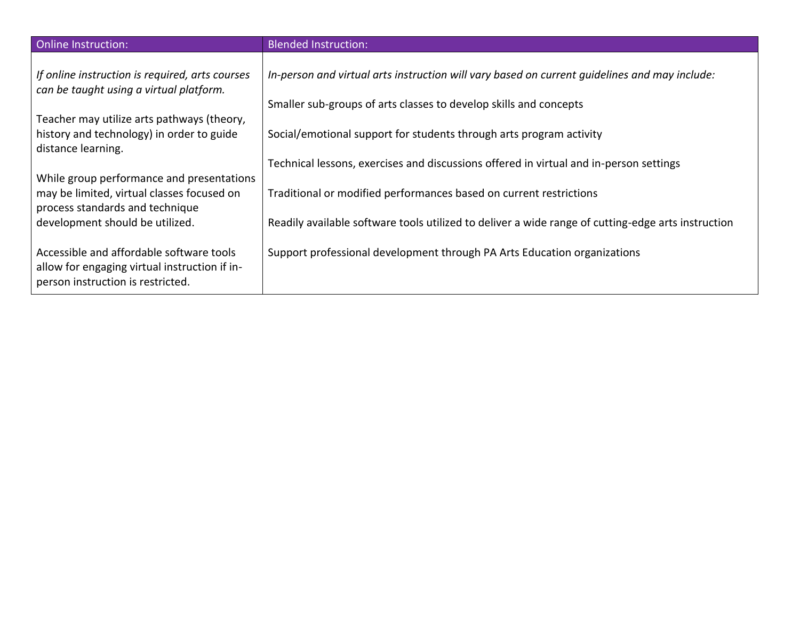| <b>Online Instruction:</b>                                                                                                     | <b>Blended Instruction:</b>                                                                        |
|--------------------------------------------------------------------------------------------------------------------------------|----------------------------------------------------------------------------------------------------|
| If online instruction is required, arts courses<br>can be taught using a virtual platform.                                     | In-person and virtual arts instruction will vary based on current quidelines and may include:      |
| Teacher may utilize arts pathways (theory,                                                                                     | Smaller sub-groups of arts classes to develop skills and concepts                                  |
| history and technology) in order to guide<br>distance learning.                                                                | Social/emotional support for students through arts program activity                                |
| While group performance and presentations                                                                                      | Technical lessons, exercises and discussions offered in virtual and in-person settings             |
| may be limited, virtual classes focused on<br>process standards and technique                                                  | Traditional or modified performances based on current restrictions                                 |
| development should be utilized.                                                                                                | Readily available software tools utilized to deliver a wide range of cutting-edge arts instruction |
| Accessible and affordable software tools<br>allow for engaging virtual instruction if in-<br>person instruction is restricted. | Support professional development through PA Arts Education organizations                           |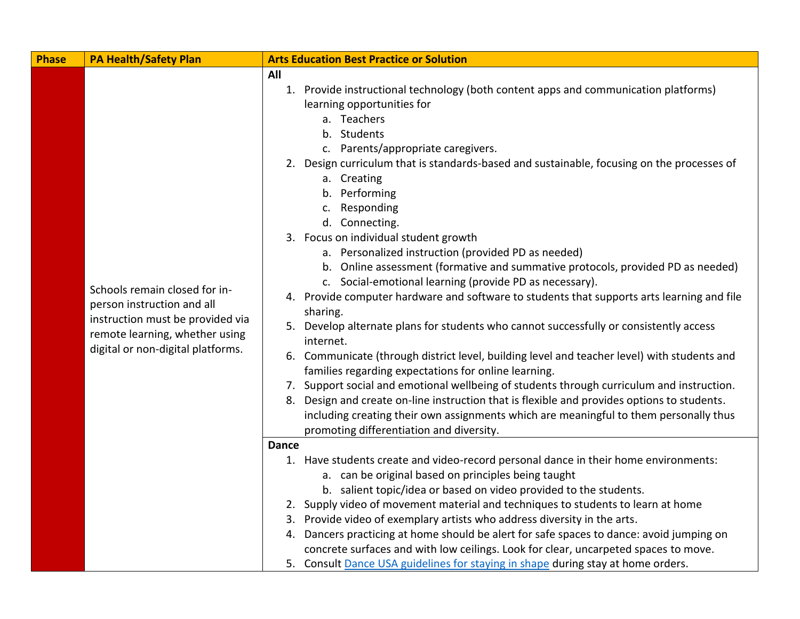| <b>Phase</b> | <b>PA Health/Safety Plan</b>                                                                                                                                           | <b>Arts Education Best Practice or Solution</b>                                                                                                                                                                                                                                                                                                                                                                                                                                                                                                                                                                                                                                                                                                                                                                                                                                                                                                                                                                                                                                                                                                                                                                                                                          |
|--------------|------------------------------------------------------------------------------------------------------------------------------------------------------------------------|--------------------------------------------------------------------------------------------------------------------------------------------------------------------------------------------------------------------------------------------------------------------------------------------------------------------------------------------------------------------------------------------------------------------------------------------------------------------------------------------------------------------------------------------------------------------------------------------------------------------------------------------------------------------------------------------------------------------------------------------------------------------------------------------------------------------------------------------------------------------------------------------------------------------------------------------------------------------------------------------------------------------------------------------------------------------------------------------------------------------------------------------------------------------------------------------------------------------------------------------------------------------------|
|              | Schools remain closed for in-<br>person instruction and all<br>instruction must be provided via<br>remote learning, whether using<br>digital or non-digital platforms. | All<br>1. Provide instructional technology (both content apps and communication platforms)<br>learning opportunities for<br>a. Teachers<br>b. Students<br>c. Parents/appropriate caregivers.<br>2. Design curriculum that is standards-based and sustainable, focusing on the processes of<br>a. Creating<br>b. Performing<br>c. Responding<br>d. Connecting.<br>3. Focus on individual student growth<br>a. Personalized instruction (provided PD as needed)<br>b. Online assessment (formative and summative protocols, provided PD as needed)<br>c. Social-emotional learning (provide PD as necessary).<br>4. Provide computer hardware and software to students that supports arts learning and file<br>sharing.<br>5. Develop alternate plans for students who cannot successfully or consistently access<br>internet.<br>6. Communicate (through district level, building level and teacher level) with students and<br>families regarding expectations for online learning.<br>7. Support social and emotional wellbeing of students through curriculum and instruction.<br>8. Design and create on-line instruction that is flexible and provides options to students.<br>including creating their own assignments which are meaningful to them personally thus |
|              |                                                                                                                                                                        | promoting differentiation and diversity.<br><b>Dance</b>                                                                                                                                                                                                                                                                                                                                                                                                                                                                                                                                                                                                                                                                                                                                                                                                                                                                                                                                                                                                                                                                                                                                                                                                                 |
|              |                                                                                                                                                                        | 1. Have students create and video-record personal dance in their home environments:                                                                                                                                                                                                                                                                                                                                                                                                                                                                                                                                                                                                                                                                                                                                                                                                                                                                                                                                                                                                                                                                                                                                                                                      |
|              |                                                                                                                                                                        | a. can be original based on principles being taught                                                                                                                                                                                                                                                                                                                                                                                                                                                                                                                                                                                                                                                                                                                                                                                                                                                                                                                                                                                                                                                                                                                                                                                                                      |
|              |                                                                                                                                                                        | b. salient topic/idea or based on video provided to the students.                                                                                                                                                                                                                                                                                                                                                                                                                                                                                                                                                                                                                                                                                                                                                                                                                                                                                                                                                                                                                                                                                                                                                                                                        |
|              |                                                                                                                                                                        | 2. Supply video of movement material and techniques to students to learn at home                                                                                                                                                                                                                                                                                                                                                                                                                                                                                                                                                                                                                                                                                                                                                                                                                                                                                                                                                                                                                                                                                                                                                                                         |
|              |                                                                                                                                                                        | 3. Provide video of exemplary artists who address diversity in the arts.                                                                                                                                                                                                                                                                                                                                                                                                                                                                                                                                                                                                                                                                                                                                                                                                                                                                                                                                                                                                                                                                                                                                                                                                 |
|              |                                                                                                                                                                        | 4. Dancers practicing at home should be alert for safe spaces to dance: avoid jumping on                                                                                                                                                                                                                                                                                                                                                                                                                                                                                                                                                                                                                                                                                                                                                                                                                                                                                                                                                                                                                                                                                                                                                                                 |
|              |                                                                                                                                                                        | concrete surfaces and with low ceilings. Look for clear, uncarpeted spaces to move.                                                                                                                                                                                                                                                                                                                                                                                                                                                                                                                                                                                                                                                                                                                                                                                                                                                                                                                                                                                                                                                                                                                                                                                      |
|              |                                                                                                                                                                        | 5. Consult Dance USA guidelines for staying in shape during stay at home orders.                                                                                                                                                                                                                                                                                                                                                                                                                                                                                                                                                                                                                                                                                                                                                                                                                                                                                                                                                                                                                                                                                                                                                                                         |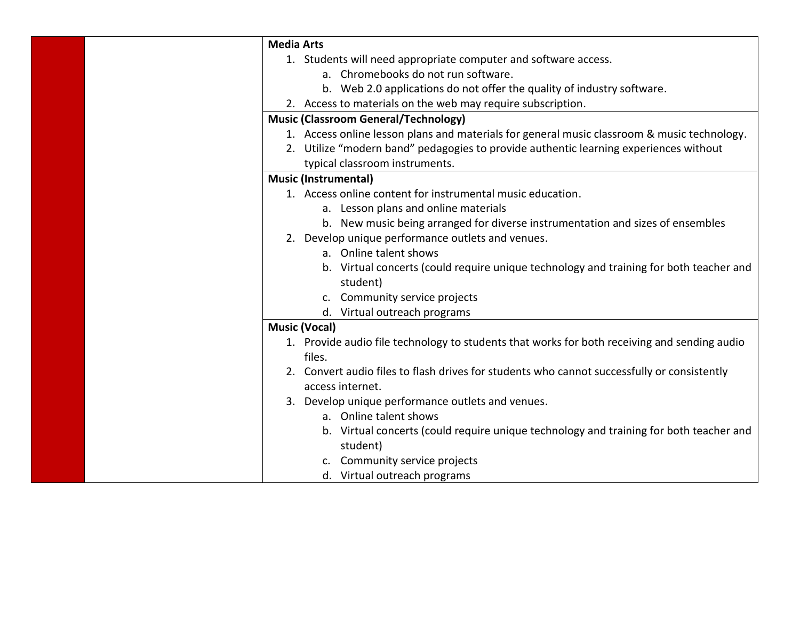| <b>Media Arts</b>                                                                            |
|----------------------------------------------------------------------------------------------|
| 1. Students will need appropriate computer and software access.                              |
| a. Chromebooks do not run software.                                                          |
| b. Web 2.0 applications do not offer the quality of industry software.                       |
| 2. Access to materials on the web may require subscription.                                  |
| <b>Music (Classroom General/Technology)</b>                                                  |
| 1. Access online lesson plans and materials for general music classroom & music technology.  |
| 2. Utilize "modern band" pedagogies to provide authentic learning experiences without        |
| typical classroom instruments.                                                               |
| <b>Music (Instrumental)</b>                                                                  |
| 1. Access online content for instrumental music education.                                   |
| a. Lesson plans and online materials                                                         |
| b. New music being arranged for diverse instrumentation and sizes of ensembles               |
| 2. Develop unique performance outlets and venues.                                            |
| a. Online talent shows                                                                       |
| b. Virtual concerts (could require unique technology and training for both teacher and       |
| student)                                                                                     |
| c. Community service projects                                                                |
| d. Virtual outreach programs                                                                 |
| <b>Music (Vocal)</b>                                                                         |
| 1. Provide audio file technology to students that works for both receiving and sending audio |
| files.                                                                                       |
| 2. Convert audio files to flash drives for students who cannot successfully or consistently  |
| access internet.                                                                             |
| 3. Develop unique performance outlets and venues.                                            |
| a. Online talent shows                                                                       |
| b. Virtual concerts (could require unique technology and training for both teacher and       |
| student)                                                                                     |
| c. Community service projects                                                                |
| d. Virtual outreach programs                                                                 |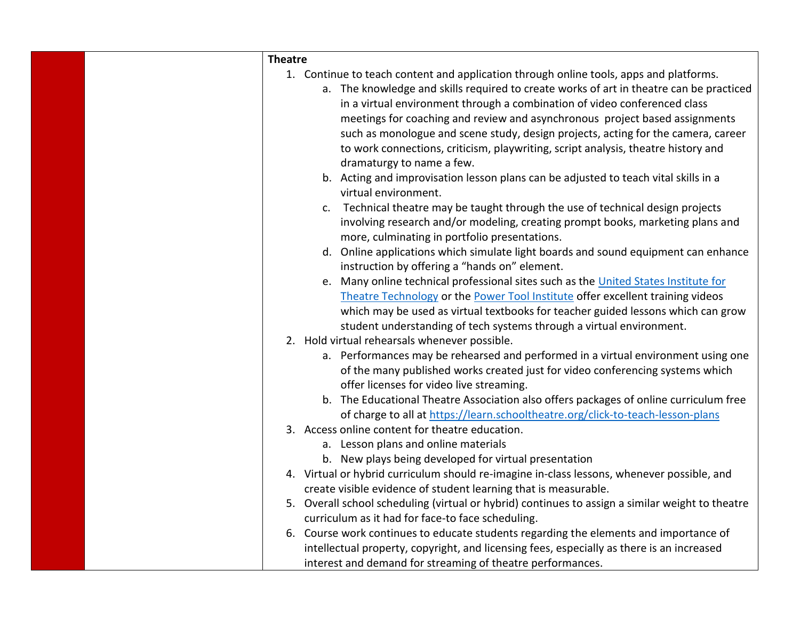| <b>Theatre</b> |                                                                                                  |
|----------------|--------------------------------------------------------------------------------------------------|
|                | 1. Continue to teach content and application through online tools, apps and platforms.           |
|                | a. The knowledge and skills required to create works of art in theatre can be practiced          |
|                | in a virtual environment through a combination of video conferenced class                        |
|                | meetings for coaching and review and asynchronous project based assignments                      |
|                | such as monologue and scene study, design projects, acting for the camera, career                |
|                | to work connections, criticism, playwriting, script analysis, theatre history and                |
|                | dramaturgy to name a few.                                                                        |
|                | b. Acting and improvisation lesson plans can be adjusted to teach vital skills in a              |
|                | virtual environment.                                                                             |
|                | Technical theatre may be taught through the use of technical design projects<br>c.               |
|                | involving research and/or modeling, creating prompt books, marketing plans and                   |
|                | more, culminating in portfolio presentations.                                                    |
|                | d. Online applications which simulate light boards and sound equipment can enhance               |
|                | instruction by offering a "hands on" element.                                                    |
|                | e. Many online technical professional sites such as the United States Institute for              |
|                | Theatre Technology or the Power Tool Institute offer excellent training videos                   |
|                | which may be used as virtual textbooks for teacher guided lessons which can grow                 |
|                | student understanding of tech systems through a virtual environment.                             |
|                | 2. Hold virtual rehearsals whenever possible.                                                    |
|                | a. Performances may be rehearsed and performed in a virtual environment using one                |
|                | of the many published works created just for video conferencing systems which                    |
|                | offer licenses for video live streaming.                                                         |
|                | b. The Educational Theatre Association also offers packages of online curriculum free            |
|                | of charge to all at https://learn.schooltheatre.org/click-to-teach-lesson-plans                  |
|                | 3. Access online content for theatre education.                                                  |
|                | a. Lesson plans and online materials                                                             |
|                | b. New plays being developed for virtual presentation                                            |
|                | 4. Virtual or hybrid curriculum should re-imagine in-class lessons, whenever possible, and       |
|                | create visible evidence of student learning that is measurable.                                  |
|                | 5. Overall school scheduling (virtual or hybrid) continues to assign a similar weight to theatre |
|                | curriculum as it had for face-to face scheduling.                                                |
|                | 6. Course work continues to educate students regarding the elements and importance of            |
|                | intellectual property, copyright, and licensing fees, especially as there is an increased        |
|                | interest and demand for streaming of theatre performances.                                       |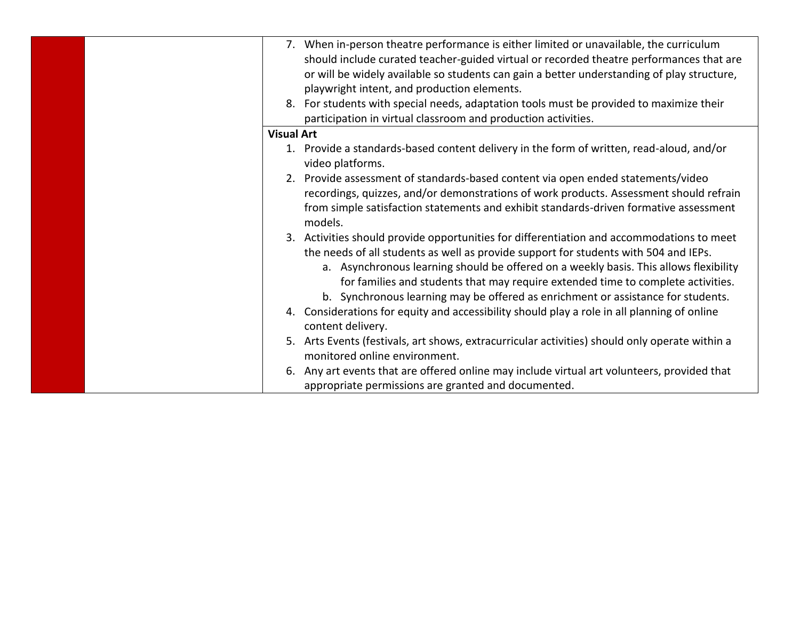|                   | 7. When in-person theatre performance is either limited or unavailable, the curriculum<br>should include curated teacher-guided virtual or recorded theatre performances that are<br>or will be widely available so students can gain a better understanding of play structure,<br>playwright intent, and production elements.                                                                                                                     |
|-------------------|----------------------------------------------------------------------------------------------------------------------------------------------------------------------------------------------------------------------------------------------------------------------------------------------------------------------------------------------------------------------------------------------------------------------------------------------------|
|                   | 8. For students with special needs, adaptation tools must be provided to maximize their                                                                                                                                                                                                                                                                                                                                                            |
|                   | participation in virtual classroom and production activities.                                                                                                                                                                                                                                                                                                                                                                                      |
| <b>Visual Art</b> |                                                                                                                                                                                                                                                                                                                                                                                                                                                    |
|                   | 1. Provide a standards-based content delivery in the form of written, read-aloud, and/or<br>video platforms.                                                                                                                                                                                                                                                                                                                                       |
|                   | 2. Provide assessment of standards-based content via open ended statements/video<br>recordings, quizzes, and/or demonstrations of work products. Assessment should refrain<br>from simple satisfaction statements and exhibit standards-driven formative assessment<br>models.                                                                                                                                                                     |
|                   | 3. Activities should provide opportunities for differentiation and accommodations to meet<br>the needs of all students as well as provide support for students with 504 and IEPs.<br>a. Asynchronous learning should be offered on a weekly basis. This allows flexibility<br>for families and students that may require extended time to complete activities.<br>b. Synchronous learning may be offered as enrichment or assistance for students. |
|                   | 4. Considerations for equity and accessibility should play a role in all planning of online<br>content delivery.                                                                                                                                                                                                                                                                                                                                   |
|                   | 5. Arts Events (festivals, art shows, extracurricular activities) should only operate within a<br>monitored online environment.                                                                                                                                                                                                                                                                                                                    |
|                   | Any art events that are offered online may include virtual art volunteers, provided that<br>appropriate permissions are granted and documented.                                                                                                                                                                                                                                                                                                    |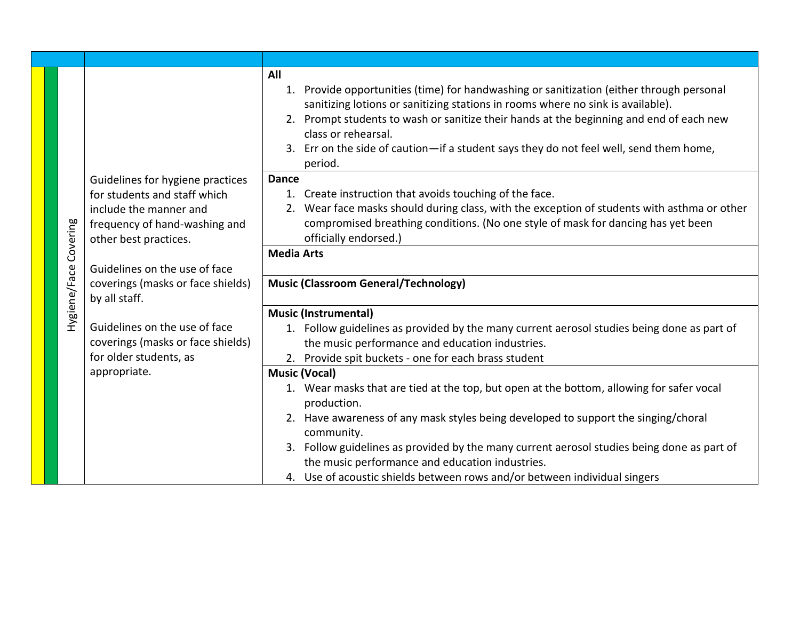|              | Guidelines for hygiene practices<br>for students and staff which | All<br>1. Provide opportunities (time) for handwashing or sanitization (either through personal<br>sanitizing lotions or sanitizing stations in rooms where no sink is available).<br>2. Prompt students to wash or sanitize their hands at the beginning and end of each new<br>class or rehearsal.<br>3. Err on the side of caution-if a student says they do not feel well, send them home,<br>period.<br><b>Dance</b><br>1. Create instruction that avoids touching of the face. |
|--------------|------------------------------------------------------------------|--------------------------------------------------------------------------------------------------------------------------------------------------------------------------------------------------------------------------------------------------------------------------------------------------------------------------------------------------------------------------------------------------------------------------------------------------------------------------------------|
| Covering     | include the manner and<br>frequency of hand-washing and          | 2. Wear face masks should during class, with the exception of students with asthma or other<br>compromised breathing conditions. (No one style of mask for dancing has yet been                                                                                                                                                                                                                                                                                                      |
|              | other best practices.                                            | officially endorsed.)<br><b>Media Arts</b>                                                                                                                                                                                                                                                                                                                                                                                                                                           |
|              | Guidelines on the use of face                                    |                                                                                                                                                                                                                                                                                                                                                                                                                                                                                      |
|              | coverings (masks or face shields)                                | <b>Music (Classroom General/Technology)</b>                                                                                                                                                                                                                                                                                                                                                                                                                                          |
|              | by all staff.                                                    |                                                                                                                                                                                                                                                                                                                                                                                                                                                                                      |
| Hygiene/Face |                                                                  | <b>Music (Instrumental)</b>                                                                                                                                                                                                                                                                                                                                                                                                                                                          |
|              | Guidelines on the use of face                                    | 1. Follow guidelines as provided by the many current aerosol studies being done as part of                                                                                                                                                                                                                                                                                                                                                                                           |
|              | coverings (masks or face shields)                                | the music performance and education industries.                                                                                                                                                                                                                                                                                                                                                                                                                                      |
|              | for older students, as                                           | 2. Provide spit buckets - one for each brass student                                                                                                                                                                                                                                                                                                                                                                                                                                 |
|              | appropriate.                                                     | <b>Music (Vocal)</b>                                                                                                                                                                                                                                                                                                                                                                                                                                                                 |
|              |                                                                  | 1. Wear masks that are tied at the top, but open at the bottom, allowing for safer vocal                                                                                                                                                                                                                                                                                                                                                                                             |
|              |                                                                  | production.                                                                                                                                                                                                                                                                                                                                                                                                                                                                          |
|              |                                                                  | 2. Have awareness of any mask styles being developed to support the singing/choral<br>community.                                                                                                                                                                                                                                                                                                                                                                                     |
|              |                                                                  | 3. Follow guidelines as provided by the many current aerosol studies being done as part of<br>the music performance and education industries.                                                                                                                                                                                                                                                                                                                                        |
|              |                                                                  | 4. Use of acoustic shields between rows and/or between individual singers                                                                                                                                                                                                                                                                                                                                                                                                            |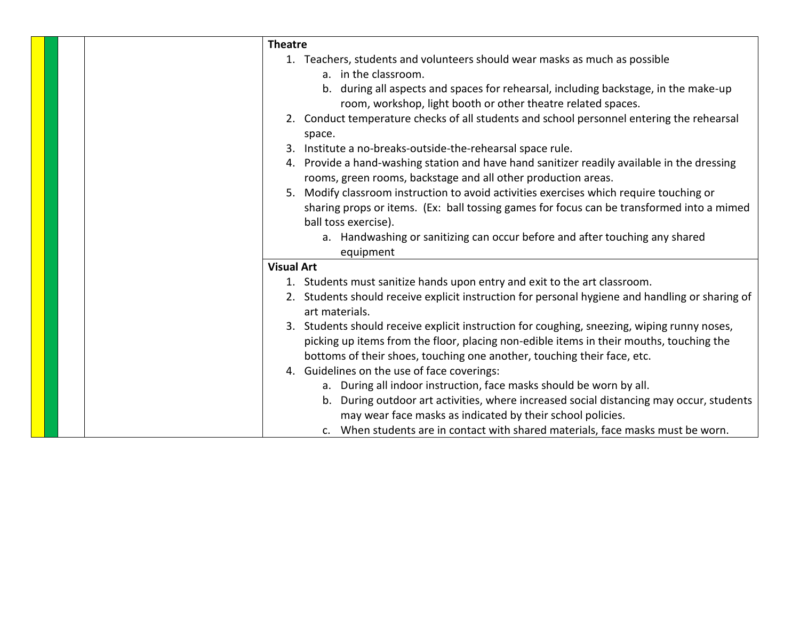| <b>Theatre</b>                                                                                                    |
|-------------------------------------------------------------------------------------------------------------------|
| 1. Teachers, students and volunteers should wear masks as much as possible                                        |
| a. in the classroom.                                                                                              |
| b. during all aspects and spaces for rehearsal, including backstage, in the make-up                               |
| room, workshop, light booth or other theatre related spaces.                                                      |
| 2. Conduct temperature checks of all students and school personnel entering the rehearsal<br>space.               |
| Institute a no-breaks-outside-the-rehearsal space rule.                                                           |
| 4. Provide a hand-washing station and have hand sanitizer readily available in the dressing                       |
| rooms, green rooms, backstage and all other production areas.                                                     |
| Modify classroom instruction to avoid activities exercises which require touching or<br>5.                        |
| sharing props or items. (Ex: ball tossing games for focus can be transformed into a mimed                         |
| ball toss exercise).                                                                                              |
| a. Handwashing or sanitizing can occur before and after touching any shared                                       |
| equipment                                                                                                         |
| <b>Visual Art</b>                                                                                                 |
| 1. Students must sanitize hands upon entry and exit to the art classroom.                                         |
| 2. Students should receive explicit instruction for personal hygiene and handling or sharing of<br>art materials. |
| 3. Students should receive explicit instruction for coughing, sneezing, wiping runny noses,                       |
| picking up items from the floor, placing non-edible items in their mouths, touching the                           |
| bottoms of their shoes, touching one another, touching their face, etc.                                           |
| 4. Guidelines on the use of face coverings:                                                                       |
| a. During all indoor instruction, face masks should be worn by all.                                               |
| b. During outdoor art activities, where increased social distancing may occur, students                           |
| may wear face masks as indicated by their school policies.                                                        |
| c. When students are in contact with shared materials, face masks must be worn.                                   |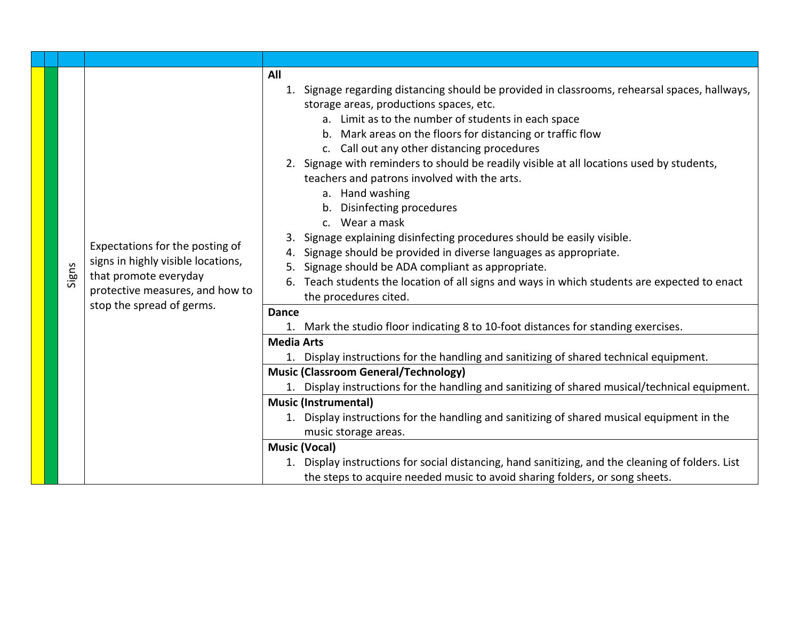| Signs | Expectations for the posting of<br>signs in highly visible locations,<br>that promote everyday<br>protective measures, and how to<br>stop the spread of germs. | All<br>1. Signage regarding distancing should be provided in classrooms, rehearsal spaces, hallways,<br>storage areas, productions spaces, etc.<br>a. Limit as to the number of students in each space<br>b. Mark areas on the floors for distancing or traffic flow<br>c. Call out any other distancing procedures<br>2. Signage with reminders to should be readily visible at all locations used by students,<br>teachers and patrons involved with the arts.<br>a. Hand washing<br>b. Disinfecting procedures<br>c. Wear a mask<br>Signage explaining disinfecting procedures should be easily visible.<br>Signage should be provided in diverse languages as appropriate.<br>Signage should be ADA compliant as appropriate.<br>6. Teach students the location of all signs and ways in which students are expected to enact<br>the procedures cited.<br><b>Dance</b><br>1. Mark the studio floor indicating 8 to 10-foot distances for standing exercises.<br><b>Media Arts</b><br>1. Display instructions for the handling and sanitizing of shared technical equipment.<br><b>Music (Classroom General/Technology)</b><br>1. Display instructions for the handling and sanitizing of shared musical/technical equipment.<br><b>Music (Instrumental)</b><br>1. Display instructions for the handling and sanitizing of shared musical equipment in the<br>music storage areas.<br><b>Music (Vocal)</b><br>1. Display instructions for social distancing, hand sanitizing, and the cleaning of folders. List<br>the steps to acquire needed music to avoid sharing folders, or song sheets. |
|-------|----------------------------------------------------------------------------------------------------------------------------------------------------------------|---------------------------------------------------------------------------------------------------------------------------------------------------------------------------------------------------------------------------------------------------------------------------------------------------------------------------------------------------------------------------------------------------------------------------------------------------------------------------------------------------------------------------------------------------------------------------------------------------------------------------------------------------------------------------------------------------------------------------------------------------------------------------------------------------------------------------------------------------------------------------------------------------------------------------------------------------------------------------------------------------------------------------------------------------------------------------------------------------------------------------------------------------------------------------------------------------------------------------------------------------------------------------------------------------------------------------------------------------------------------------------------------------------------------------------------------------------------------------------------------------------------------------------------------------------------------------------------------------|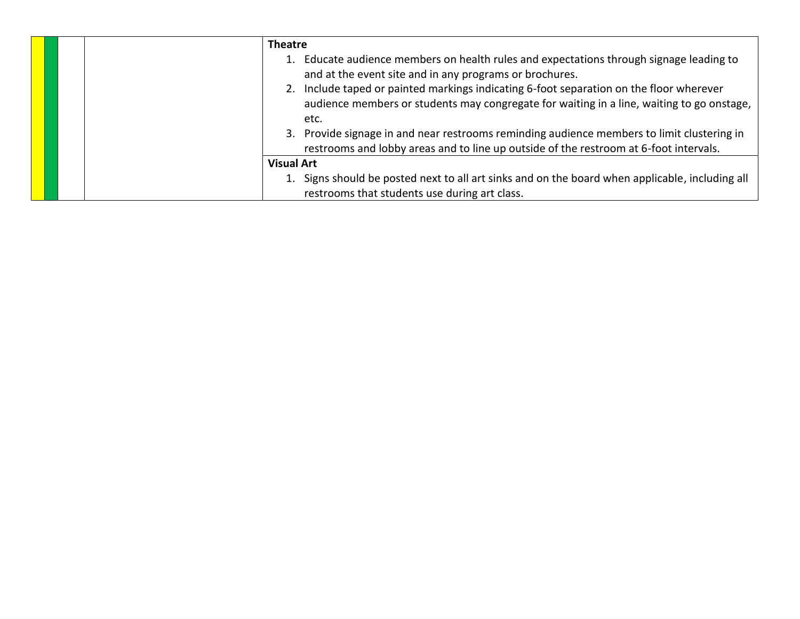| <b>Theatre</b><br>1. Educate audience members on health rules and expectations through signage leading to<br>and at the event site and in any programs or brochures.<br>2. Include taped or painted markings indicating 6-foot separation on the floor wherever<br>audience members or students may congregate for waiting in a line, waiting to go onstage,<br>etc.<br>3. Provide signage in and near restrooms reminding audience members to limit clustering in |
|--------------------------------------------------------------------------------------------------------------------------------------------------------------------------------------------------------------------------------------------------------------------------------------------------------------------------------------------------------------------------------------------------------------------------------------------------------------------|
| restrooms and lobby areas and to line up outside of the restroom at 6-foot intervals.                                                                                                                                                                                                                                                                                                                                                                              |
| <b>Visual Art</b>                                                                                                                                                                                                                                                                                                                                                                                                                                                  |
| 1. Signs should be posted next to all art sinks and on the board when applicable, including all<br>restrooms that students use during art class.                                                                                                                                                                                                                                                                                                                   |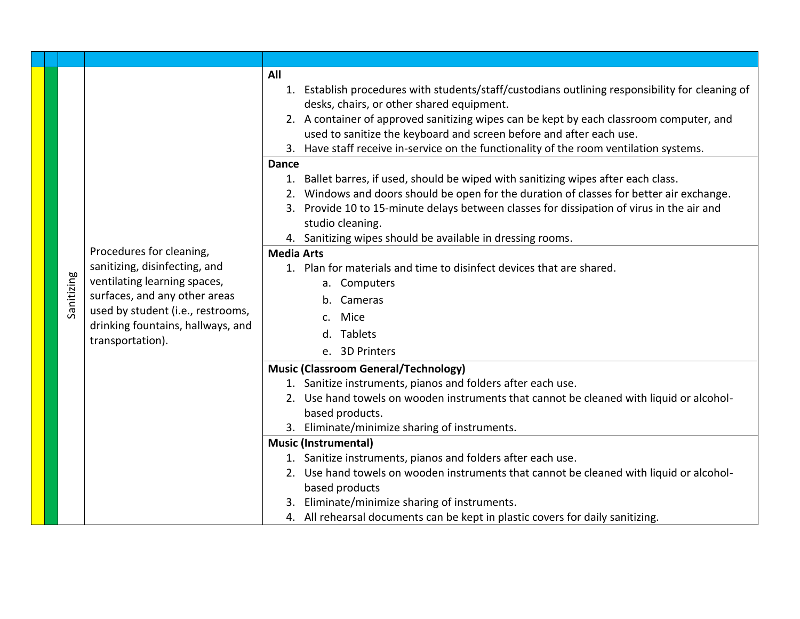|  |            |                                                                                            | All                                                                                                |
|--|------------|--------------------------------------------------------------------------------------------|----------------------------------------------------------------------------------------------------|
|  |            |                                                                                            | Establish procedures with students/staff/custodians outlining responsibility for cleaning of<br>1. |
|  |            |                                                                                            | desks, chairs, or other shared equipment.                                                          |
|  |            |                                                                                            | 2. A container of approved sanitizing wipes can be kept by each classroom computer, and            |
|  |            |                                                                                            | used to sanitize the keyboard and screen before and after each use.                                |
|  |            |                                                                                            | 3. Have staff receive in-service on the functionality of the room ventilation systems.             |
|  |            |                                                                                            | Dance                                                                                              |
|  |            |                                                                                            | 1. Ballet barres, if used, should be wiped with sanitizing wipes after each class.                 |
|  |            |                                                                                            | 2. Windows and doors should be open for the duration of classes for better air exchange.           |
|  |            |                                                                                            | Provide 10 to 15-minute delays between classes for dissipation of virus in the air and<br>3.       |
|  |            |                                                                                            | studio cleaning.                                                                                   |
|  |            |                                                                                            | 4. Sanitizing wipes should be available in dressing rooms.                                         |
|  |            | Procedures for cleaning,                                                                   | <b>Media Arts</b>                                                                                  |
|  |            | sanitizing, disinfecting, and<br>ventilating learning spaces,                              | 1. Plan for materials and time to disinfect devices that are shared.                               |
|  |            |                                                                                            | a. Computers                                                                                       |
|  | Sanitizing | surfaces, and any other areas                                                              | Cameras                                                                                            |
|  |            | used by student (i.e., restrooms,<br>drinking fountains, hallways, and<br>transportation). | Mice<br>$\mathsf{C}$                                                                               |
|  |            |                                                                                            | d. Tablets                                                                                         |
|  |            |                                                                                            | e. 3D Printers                                                                                     |
|  |            |                                                                                            | <b>Music (Classroom General/Technology)</b>                                                        |
|  |            |                                                                                            | 1. Sanitize instruments, pianos and folders after each use.                                        |
|  |            |                                                                                            | 2. Use hand towels on wooden instruments that cannot be cleaned with liquid or alcohol-            |
|  |            |                                                                                            | based products.                                                                                    |
|  |            |                                                                                            | 3. Eliminate/minimize sharing of instruments.                                                      |
|  |            |                                                                                            | <b>Music (Instrumental)</b>                                                                        |
|  |            |                                                                                            | 1. Sanitize instruments, pianos and folders after each use.                                        |
|  |            |                                                                                            | 2. Use hand towels on wooden instruments that cannot be cleaned with liquid or alcohol-            |
|  |            |                                                                                            | based products                                                                                     |
|  |            |                                                                                            | Eliminate/minimize sharing of instruments.                                                         |
|  |            |                                                                                            | 4. All rehearsal documents can be kept in plastic covers for daily sanitizing.                     |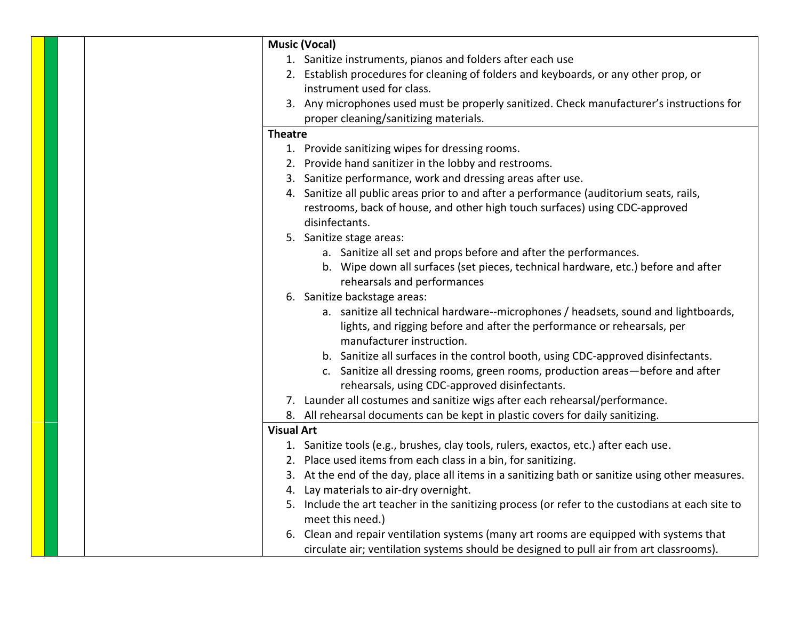|  | <b>Music (Vocal)</b>                                                                             |
|--|--------------------------------------------------------------------------------------------------|
|  | 1. Sanitize instruments, pianos and folders after each use                                       |
|  | 2. Establish procedures for cleaning of folders and keyboards, or any other prop, or             |
|  | instrument used for class.                                                                       |
|  | 3. Any microphones used must be properly sanitized. Check manufacturer's instructions for        |
|  | proper cleaning/sanitizing materials.                                                            |
|  | <b>Theatre</b>                                                                                   |
|  | 1. Provide sanitizing wipes for dressing rooms.                                                  |
|  | 2. Provide hand sanitizer in the lobby and restrooms.                                            |
|  | 3. Sanitize performance, work and dressing areas after use.                                      |
|  | 4. Sanitize all public areas prior to and after a performance (auditorium seats, rails,          |
|  | restrooms, back of house, and other high touch surfaces) using CDC-approved                      |
|  | disinfectants.                                                                                   |
|  | 5. Sanitize stage areas:                                                                         |
|  | a. Sanitize all set and props before and after the performances.                                 |
|  | b. Wipe down all surfaces (set pieces, technical hardware, etc.) before and after                |
|  | rehearsals and performances                                                                      |
|  | 6. Sanitize backstage areas:                                                                     |
|  | a. sanitize all technical hardware--microphones / headsets, sound and lightboards,               |
|  | lights, and rigging before and after the performance or rehearsals, per                          |
|  | manufacturer instruction.                                                                        |
|  | b. Sanitize all surfaces in the control booth, using CDC-approved disinfectants.                 |
|  | c. Sanitize all dressing rooms, green rooms, production areas-before and after                   |
|  | rehearsals, using CDC-approved disinfectants.                                                    |
|  | 7. Launder all costumes and sanitize wigs after each rehearsal/performance.                      |
|  | 8. All rehearsal documents can be kept in plastic covers for daily sanitizing.                   |
|  | <b>Visual Art</b>                                                                                |
|  | 1. Sanitize tools (e.g., brushes, clay tools, rulers, exactos, etc.) after each use.             |
|  | 2. Place used items from each class in a bin, for sanitizing.                                    |
|  | 3. At the end of the day, place all items in a sanitizing bath or sanitize using other measures. |
|  | 4. Lay materials to air-dry overnight.                                                           |
|  | 5. Include the art teacher in the sanitizing process (or refer to the custodians at each site to |
|  | meet this need.)                                                                                 |
|  | 6. Clean and repair ventilation systems (many art rooms are equipped with systems that           |
|  | circulate air; ventilation systems should be designed to pull air from art classrooms).          |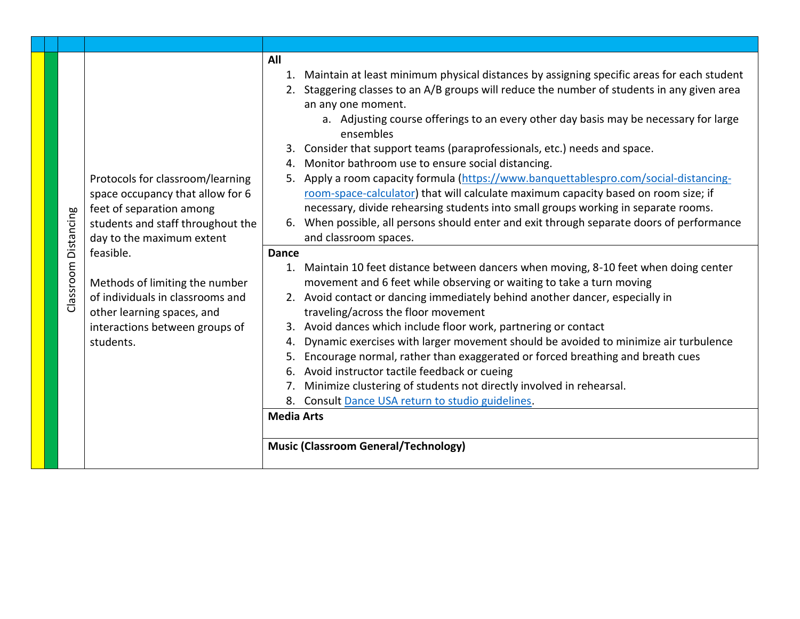|                |                                   | All                                                                                               |
|----------------|-----------------------------------|---------------------------------------------------------------------------------------------------|
|                |                                   | 1. Maintain at least minimum physical distances by assigning specific areas for each student      |
|                |                                   | Staggering classes to an A/B groups will reduce the number of students in any given area<br>2.    |
|                |                                   | an any one moment.                                                                                |
|                |                                   | a. Adjusting course offerings to an every other day basis may be necessary for large<br>ensembles |
|                |                                   | 3. Consider that support teams (paraprofessionals, etc.) needs and space.                         |
|                |                                   | Monitor bathroom use to ensure social distancing.<br>4.                                           |
|                | Protocols for classroom/learning  | Apply a room capacity formula (https://www.banquettablespro.com/social-distancing-<br>5.          |
|                | space occupancy that allow for 6  | room-space-calculator) that will calculate maximum capacity based on room size; if                |
|                | feet of separation among          | necessary, divide rehearsing students into small groups working in separate rooms.                |
| Distancing     | students and staff throughout the | When possible, all persons should enter and exit through separate doors of performance<br>6.      |
|                | day to the maximum extent         | and classroom spaces.                                                                             |
|                | feasible.                         | <b>Dance</b>                                                                                      |
| assroom        |                                   | 1. Maintain 10 feet distance between dancers when moving, 8-10 feet when doing center             |
|                | Methods of limiting the number    | movement and 6 feet while observing or waiting to take a turn moving                              |
|                | of individuals in classrooms and  | 2. Avoid contact or dancing immediately behind another dancer, especially in                      |
| $\overline{O}$ | other learning spaces, and        | traveling/across the floor movement                                                               |
|                | interactions between groups of    | Avoid dances which include floor work, partnering or contact<br>3.                                |
|                | students.                         | Dynamic exercises with larger movement should be avoided to minimize air turbulence<br>4.         |
|                |                                   | Encourage normal, rather than exaggerated or forced breathing and breath cues                     |
|                |                                   | Avoid instructor tactile feedback or cueing<br>6.                                                 |
|                |                                   | Minimize clustering of students not directly involved in rehearsal.<br>7.                         |
|                |                                   | 8. Consult Dance USA return to studio guidelines.                                                 |
|                |                                   | <b>Media Arts</b>                                                                                 |
|                |                                   |                                                                                                   |
|                |                                   | <b>Music (Classroom General/Technology)</b>                                                       |
|                |                                   |                                                                                                   |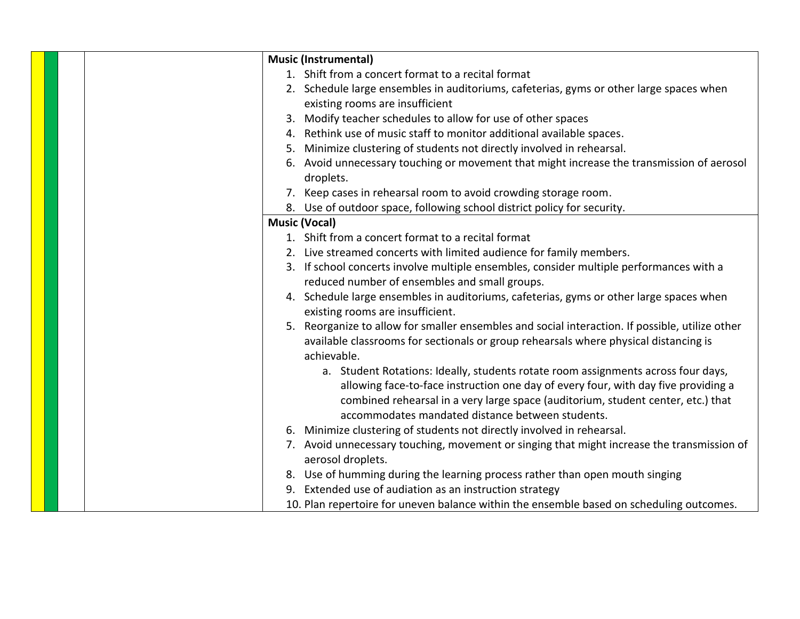|    | <b>Music (Instrumental)</b>                                                                                                                                             |
|----|-------------------------------------------------------------------------------------------------------------------------------------------------------------------------|
|    | 1. Shift from a concert format to a recital format                                                                                                                      |
|    | 2. Schedule large ensembles in auditoriums, cafeterias, gyms or other large spaces when<br>existing rooms are insufficient                                              |
| 3. | Modify teacher schedules to allow for use of other spaces                                                                                                               |
|    | 4. Rethink use of music staff to monitor additional available spaces.                                                                                                   |
| 5. | Minimize clustering of students not directly involved in rehearsal.                                                                                                     |
|    | 6. Avoid unnecessary touching or movement that might increase the transmission of aerosol                                                                               |
|    | droplets.                                                                                                                                                               |
|    | 7. Keep cases in rehearsal room to avoid crowding storage room.                                                                                                         |
|    | 8. Use of outdoor space, following school district policy for security.                                                                                                 |
|    | <b>Music (Vocal)</b>                                                                                                                                                    |
|    | 1. Shift from a concert format to a recital format                                                                                                                      |
|    | 2. Live streamed concerts with limited audience for family members.                                                                                                     |
|    | 3. If school concerts involve multiple ensembles, consider multiple performances with a                                                                                 |
|    | reduced number of ensembles and small groups.                                                                                                                           |
|    | 4. Schedule large ensembles in auditoriums, cafeterias, gyms or other large spaces when                                                                                 |
|    | existing rooms are insufficient.                                                                                                                                        |
|    | 5. Reorganize to allow for smaller ensembles and social interaction. If possible, utilize other                                                                         |
|    | available classrooms for sectionals or group rehearsals where physical distancing is<br>achievable.                                                                     |
|    | a. Student Rotations: Ideally, students rotate room assignments across four days,<br>allowing face-to-face instruction one day of every four, with day five providing a |
|    | combined rehearsal in a very large space (auditorium, student center, etc.) that<br>accommodates mandated distance between students.                                    |
|    | 6. Minimize clustering of students not directly involved in rehearsal.                                                                                                  |
|    | 7. Avoid unnecessary touching, movement or singing that might increase the transmission of                                                                              |
|    | aerosol droplets.                                                                                                                                                       |
| 8. | Use of humming during the learning process rather than open mouth singing                                                                                               |
|    | 9. Extended use of audiation as an instruction strategy                                                                                                                 |
|    | 10. Plan repertoire for uneven balance within the ensemble based on scheduling outcomes.                                                                                |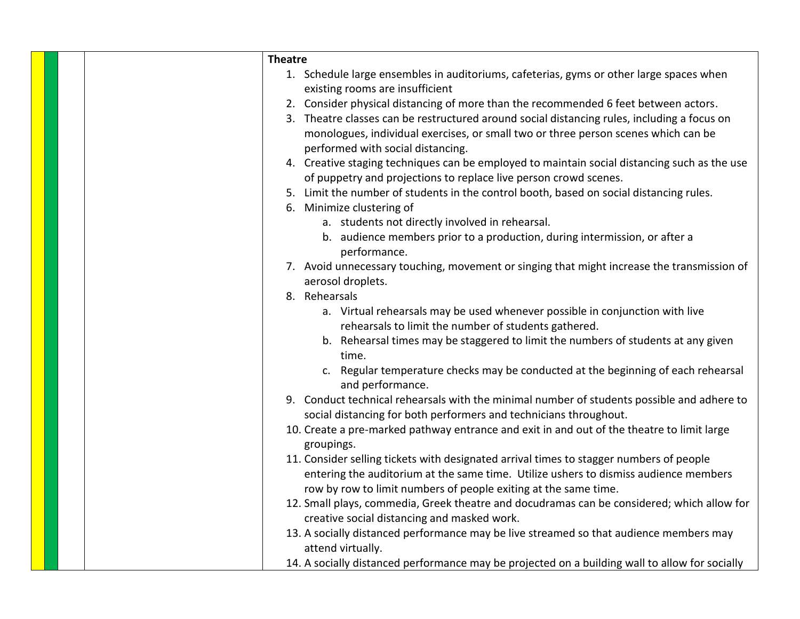| <b>Theatre</b> |                                                                                                                                                                                                                                                    |
|----------------|----------------------------------------------------------------------------------------------------------------------------------------------------------------------------------------------------------------------------------------------------|
|                | 1. Schedule large ensembles in auditoriums, cafeterias, gyms or other large spaces when<br>existing rooms are insufficient                                                                                                                         |
|                | 2. Consider physical distancing of more than the recommended 6 feet between actors.                                                                                                                                                                |
|                | 3. Theatre classes can be restructured around social distancing rules, including a focus on<br>monologues, individual exercises, or small two or three person scenes which can be<br>performed with social distancing.                             |
|                | 4. Creative staging techniques can be employed to maintain social distancing such as the use<br>of puppetry and projections to replace live person crowd scenes.                                                                                   |
|                | 5. Limit the number of students in the control booth, based on social distancing rules.                                                                                                                                                            |
|                | 6. Minimize clustering of                                                                                                                                                                                                                          |
|                | a. students not directly involved in rehearsal.                                                                                                                                                                                                    |
|                | b. audience members prior to a production, during intermission, or after a<br>performance.                                                                                                                                                         |
|                | 7. Avoid unnecessary touching, movement or singing that might increase the transmission of<br>aerosol droplets.                                                                                                                                    |
|                | 8. Rehearsals                                                                                                                                                                                                                                      |
|                | a. Virtual rehearsals may be used whenever possible in conjunction with live<br>rehearsals to limit the number of students gathered.                                                                                                               |
|                | b. Rehearsal times may be staggered to limit the numbers of students at any given<br>time.                                                                                                                                                         |
|                | c. Regular temperature checks may be conducted at the beginning of each rehearsal<br>and performance.                                                                                                                                              |
|                | 9. Conduct technical rehearsals with the minimal number of students possible and adhere to<br>social distancing for both performers and technicians throughout.                                                                                    |
|                | 10. Create a pre-marked pathway entrance and exit in and out of the theatre to limit large<br>groupings.                                                                                                                                           |
|                | 11. Consider selling tickets with designated arrival times to stagger numbers of people<br>entering the auditorium at the same time. Utilize ushers to dismiss audience members<br>row by row to limit numbers of people exiting at the same time. |
|                | 12. Small plays, commedia, Greek theatre and docudramas can be considered; which allow for<br>creative social distancing and masked work.                                                                                                          |
|                | 13. A socially distanced performance may be live streamed so that audience members may<br>attend virtually.                                                                                                                                        |
|                | 14. A socially distanced performance may be projected on a building wall to allow for socially                                                                                                                                                     |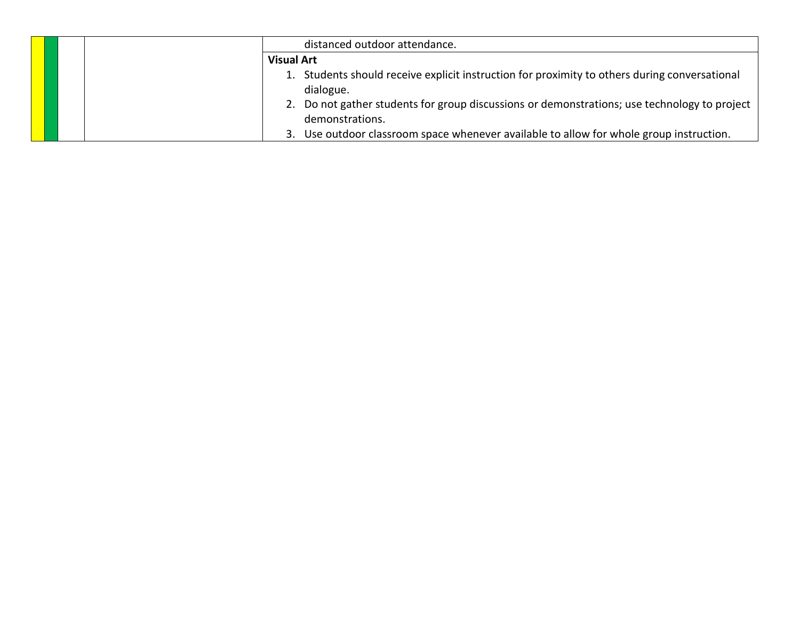|  | distanced outdoor attendance.                                                                 |
|--|-----------------------------------------------------------------------------------------------|
|  | <b>Visual Art</b>                                                                             |
|  | 1. Students should receive explicit instruction for proximity to others during conversational |
|  | dialogue.                                                                                     |
|  | 2. Do not gather students for group discussions or demonstrations; use technology to project  |
|  | demonstrations.                                                                               |
|  | 3. Use outdoor classroom space whenever available to allow for whole group instruction.       |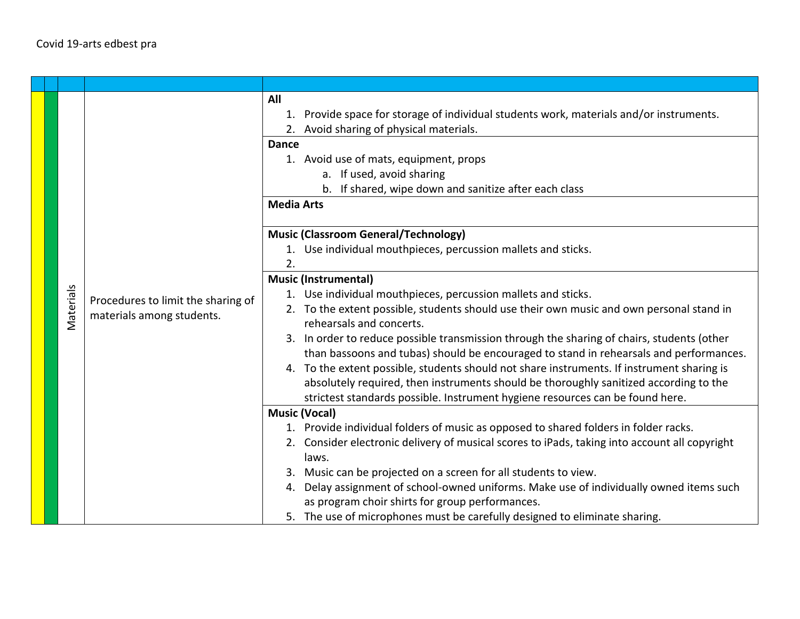| Materials | Procedures to limit the sharing of<br>materials among students. | All<br>Provide space for storage of individual students work, materials and/or instruments.<br>1.<br>2. Avoid sharing of physical materials.<br><b>Dance</b><br>1. Avoid use of mats, equipment, props<br>a. If used, avoid sharing<br>b. If shared, wipe down and sanitize after each class<br><b>Media Arts</b><br><b>Music (Classroom General/Technology)</b><br>1. Use individual mouthpieces, percussion mallets and sticks.<br>2.<br><b>Music (Instrumental)</b><br>1. Use individual mouthpieces, percussion mallets and sticks.<br>2. To the extent possible, students should use their own music and own personal stand in<br>rehearsals and concerts.<br>3. In order to reduce possible transmission through the sharing of chairs, students (other<br>than bassoons and tubas) should be encouraged to stand in rehearsals and performances.<br>4. To the extent possible, students should not share instruments. If instrument sharing is<br>absolutely required, then instruments should be thoroughly sanitized according to the<br>strictest standards possible. Instrument hygiene resources can be found here.<br><b>Music (Vocal)</b><br>1. Provide individual folders of music as opposed to shared folders in folder racks.<br>2. Consider electronic delivery of musical scores to iPads, taking into account all copyright<br>laws.<br>3. Music can be projected on a screen for all students to view.<br>4. Delay assignment of school-owned uniforms. Make use of individually owned items such |
|-----------|-----------------------------------------------------------------|-------------------------------------------------------------------------------------------------------------------------------------------------------------------------------------------------------------------------------------------------------------------------------------------------------------------------------------------------------------------------------------------------------------------------------------------------------------------------------------------------------------------------------------------------------------------------------------------------------------------------------------------------------------------------------------------------------------------------------------------------------------------------------------------------------------------------------------------------------------------------------------------------------------------------------------------------------------------------------------------------------------------------------------------------------------------------------------------------------------------------------------------------------------------------------------------------------------------------------------------------------------------------------------------------------------------------------------------------------------------------------------------------------------------------------------------------------------------------------------------------------------------------|
|           |                                                                 | as program choir shirts for group performances.<br>5. The use of microphones must be carefully designed to eliminate sharing.                                                                                                                                                                                                                                                                                                                                                                                                                                                                                                                                                                                                                                                                                                                                                                                                                                                                                                                                                                                                                                                                                                                                                                                                                                                                                                                                                                                           |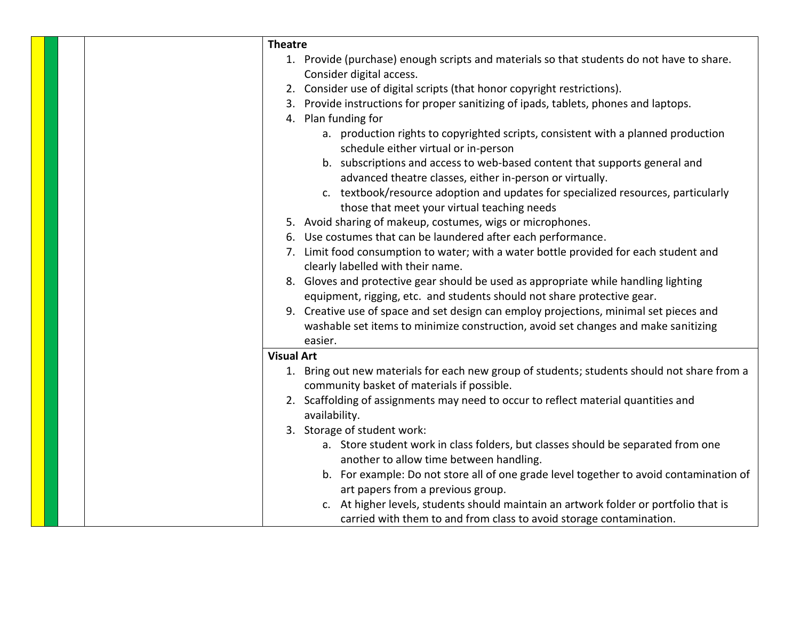| <b>Theatre</b>                                                                              |
|---------------------------------------------------------------------------------------------|
| 1. Provide (purchase) enough scripts and materials so that students do not have to share.   |
| Consider digital access.                                                                    |
| 2. Consider use of digital scripts (that honor copyright restrictions).                     |
| 3. Provide instructions for proper sanitizing of ipads, tablets, phones and laptops.        |
| 4. Plan funding for                                                                         |
| a. production rights to copyrighted scripts, consistent with a planned production           |
| schedule either virtual or in-person                                                        |
| b. subscriptions and access to web-based content that supports general and                  |
| advanced theatre classes, either in-person or virtually.                                    |
| c. textbook/resource adoption and updates for specialized resources, particularly           |
| those that meet your virtual teaching needs                                                 |
| 5. Avoid sharing of makeup, costumes, wigs or microphones.                                  |
| 6. Use costumes that can be laundered after each performance.                               |
| 7. Limit food consumption to water; with a water bottle provided for each student and       |
| clearly labelled with their name.                                                           |
| 8. Gloves and protective gear should be used as appropriate while handling lighting         |
| equipment, rigging, etc. and students should not share protective gear.                     |
| 9. Creative use of space and set design can employ projections, minimal set pieces and      |
| washable set items to minimize construction, avoid set changes and make sanitizing          |
| easier.                                                                                     |
| <b>Visual Art</b>                                                                           |
| 1. Bring out new materials for each new group of students; students should not share from a |
| community basket of materials if possible.                                                  |
| 2. Scaffolding of assignments may need to occur to reflect material quantities and          |
| availability.                                                                               |
| 3. Storage of student work:                                                                 |
| a. Store student work in class folders, but classes should be separated from one            |
| another to allow time between handling.                                                     |
| b. For example: Do not store all of one grade level together to avoid contamination of      |
| art papers from a previous group.                                                           |
| c. At higher levels, students should maintain an artwork folder or portfolio that is        |
| carried with them to and from class to avoid storage contamination.                         |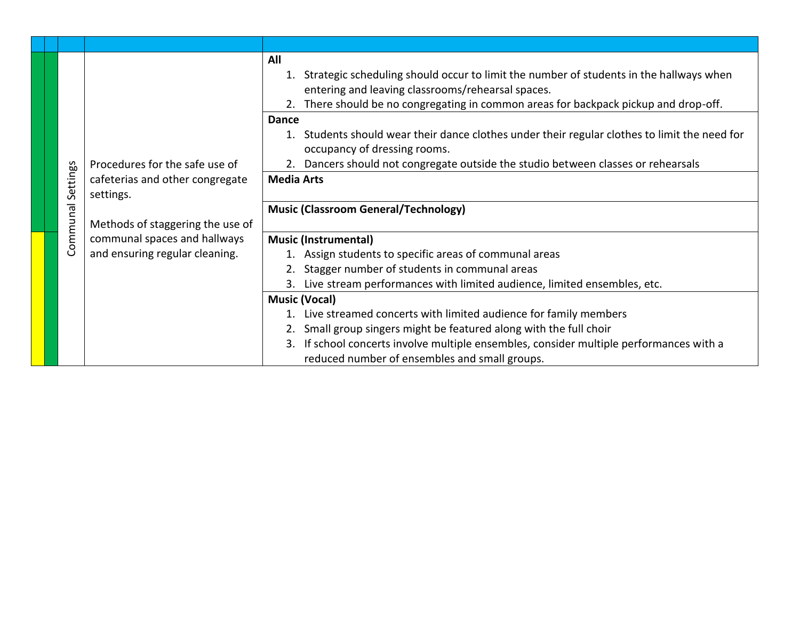|          |                                  | All<br>1. Strategic scheduling should occur to limit the number of students in the hallways when                           |
|----------|----------------------------------|----------------------------------------------------------------------------------------------------------------------------|
|          |                                  | entering and leaving classrooms/rehearsal spaces.                                                                          |
|          |                                  | There should be no congregating in common areas for backpack pickup and drop-off.                                          |
|          |                                  | <b>Dance</b>                                                                                                               |
|          |                                  | Students should wear their dance clothes under their regular clothes to limit the need for<br>occupancy of dressing rooms. |
|          | Procedures for the safe use of   | 2. Dancers should not congregate outside the studio between classes or rehearsals                                          |
| Settings | cafeterias and other congregate  | <b>Media Arts</b>                                                                                                          |
|          | settings.                        |                                                                                                                            |
| ommunal  |                                  | <b>Music (Classroom General/Technology)</b>                                                                                |
|          | Methods of staggering the use of |                                                                                                                            |
|          | communal spaces and hallways     | <b>Music (Instrumental)</b>                                                                                                |
| Ō        | and ensuring regular cleaning.   | 1. Assign students to specific areas of communal areas                                                                     |
|          |                                  | 2. Stagger number of students in communal areas                                                                            |
|          |                                  | Live stream performances with limited audience, limited ensembles, etc.<br>3.                                              |
|          |                                  | <b>Music (Vocal)</b>                                                                                                       |
|          |                                  | 1. Live streamed concerts with limited audience for family members                                                         |
|          |                                  | 2. Small group singers might be featured along with the full choir                                                         |
|          |                                  | 3. If school concerts involve multiple ensembles, consider multiple performances with a                                    |
|          |                                  | reduced number of ensembles and small groups.                                                                              |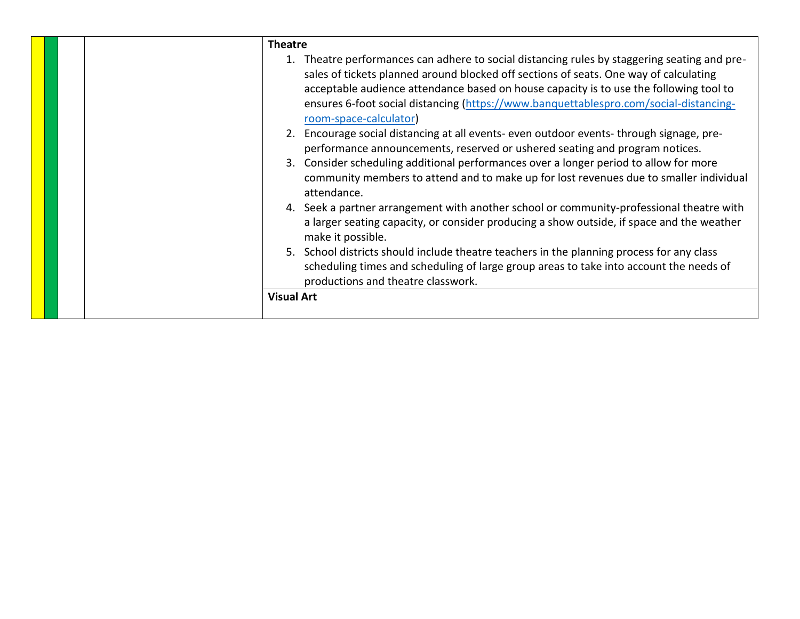| <b>Theatre</b>                                                                                                                                                                                                                                                                                                                                                                                                                                                                                                                                                                                                                                                                                                                                                                                                                                                             |
|----------------------------------------------------------------------------------------------------------------------------------------------------------------------------------------------------------------------------------------------------------------------------------------------------------------------------------------------------------------------------------------------------------------------------------------------------------------------------------------------------------------------------------------------------------------------------------------------------------------------------------------------------------------------------------------------------------------------------------------------------------------------------------------------------------------------------------------------------------------------------|
| 1. Theatre performances can adhere to social distancing rules by staggering seating and pre-<br>sales of tickets planned around blocked off sections of seats. One way of calculating<br>acceptable audience attendance based on house capacity is to use the following tool to<br>ensures 6-foot social distancing (https://www.banquettablespro.com/social-distancing-<br>room-space-calculator)<br>2. Encourage social distancing at all events- even outdoor events-through signage, pre-<br>performance announcements, reserved or ushered seating and program notices.<br>3. Consider scheduling additional performances over a longer period to allow for more<br>community members to attend and to make up for lost revenues due to smaller individual<br>attendance.<br>4. Seek a partner arrangement with another school or community-professional theatre with |
| a larger seating capacity, or consider producing a show outside, if space and the weather<br>make it possible.                                                                                                                                                                                                                                                                                                                                                                                                                                                                                                                                                                                                                                                                                                                                                             |
| 5. School districts should include theatre teachers in the planning process for any class<br>scheduling times and scheduling of large group areas to take into account the needs of<br>productions and theatre classwork.                                                                                                                                                                                                                                                                                                                                                                                                                                                                                                                                                                                                                                                  |
| <b>Visual Art</b>                                                                                                                                                                                                                                                                                                                                                                                                                                                                                                                                                                                                                                                                                                                                                                                                                                                          |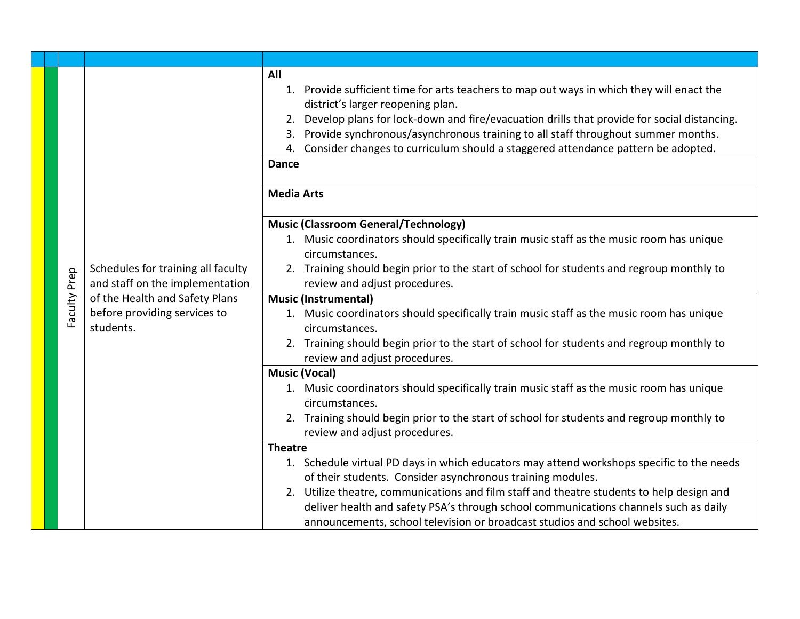|  |              |                                                                                                                                                      | All<br>Provide sufficient time for arts teachers to map out ways in which they will enact the<br>1.<br>district's larger reopening plan.<br>Develop plans for lock-down and fire/evacuation drills that provide for social distancing.<br>2.<br>Provide synchronous/asynchronous training to all staff throughout summer months.<br>3.<br>Consider changes to curriculum should a staggered attendance pattern be adopted.<br>4.<br><b>Dance</b> |
|--|--------------|------------------------------------------------------------------------------------------------------------------------------------------------------|--------------------------------------------------------------------------------------------------------------------------------------------------------------------------------------------------------------------------------------------------------------------------------------------------------------------------------------------------------------------------------------------------------------------------------------------------|
|  |              |                                                                                                                                                      | <b>Media Arts</b>                                                                                                                                                                                                                                                                                                                                                                                                                                |
|  |              |                                                                                                                                                      |                                                                                                                                                                                                                                                                                                                                                                                                                                                  |
|  |              |                                                                                                                                                      | <b>Music (Classroom General/Technology)</b><br>1. Music coordinators should specifically train music staff as the music room has unique                                                                                                                                                                                                                                                                                                          |
|  |              |                                                                                                                                                      | circumstances.                                                                                                                                                                                                                                                                                                                                                                                                                                   |
|  |              | Schedules for training all faculty<br>and staff on the implementation<br>of the Health and Safety Plans<br>before providing services to<br>students. | 2. Training should begin prior to the start of school for students and regroup monthly to                                                                                                                                                                                                                                                                                                                                                        |
|  |              |                                                                                                                                                      | review and adjust procedures.                                                                                                                                                                                                                                                                                                                                                                                                                    |
|  |              |                                                                                                                                                      | <b>Music (Instrumental)</b>                                                                                                                                                                                                                                                                                                                                                                                                                      |
|  | Faculty Prep |                                                                                                                                                      | 1. Music coordinators should specifically train music staff as the music room has unique<br>circumstances.                                                                                                                                                                                                                                                                                                                                       |
|  |              |                                                                                                                                                      | 2. Training should begin prior to the start of school for students and regroup monthly to<br>review and adjust procedures.                                                                                                                                                                                                                                                                                                                       |
|  |              |                                                                                                                                                      | <b>Music (Vocal)</b>                                                                                                                                                                                                                                                                                                                                                                                                                             |
|  |              |                                                                                                                                                      | 1. Music coordinators should specifically train music staff as the music room has unique                                                                                                                                                                                                                                                                                                                                                         |
|  |              |                                                                                                                                                      | circumstances.                                                                                                                                                                                                                                                                                                                                                                                                                                   |
|  |              |                                                                                                                                                      | 2. Training should begin prior to the start of school for students and regroup monthly to                                                                                                                                                                                                                                                                                                                                                        |
|  |              |                                                                                                                                                      | review and adjust procedures.                                                                                                                                                                                                                                                                                                                                                                                                                    |
|  |              |                                                                                                                                                      | <b>Theatre</b>                                                                                                                                                                                                                                                                                                                                                                                                                                   |
|  |              |                                                                                                                                                      | 1. Schedule virtual PD days in which educators may attend workshops specific to the needs<br>of their students. Consider asynchronous training modules.                                                                                                                                                                                                                                                                                          |
|  |              |                                                                                                                                                      | 2. Utilize theatre, communications and film staff and theatre students to help design and                                                                                                                                                                                                                                                                                                                                                        |
|  |              |                                                                                                                                                      |                                                                                                                                                                                                                                                                                                                                                                                                                                                  |
|  |              |                                                                                                                                                      | deliver health and safety PSA's through school communications channels such as daily                                                                                                                                                                                                                                                                                                                                                             |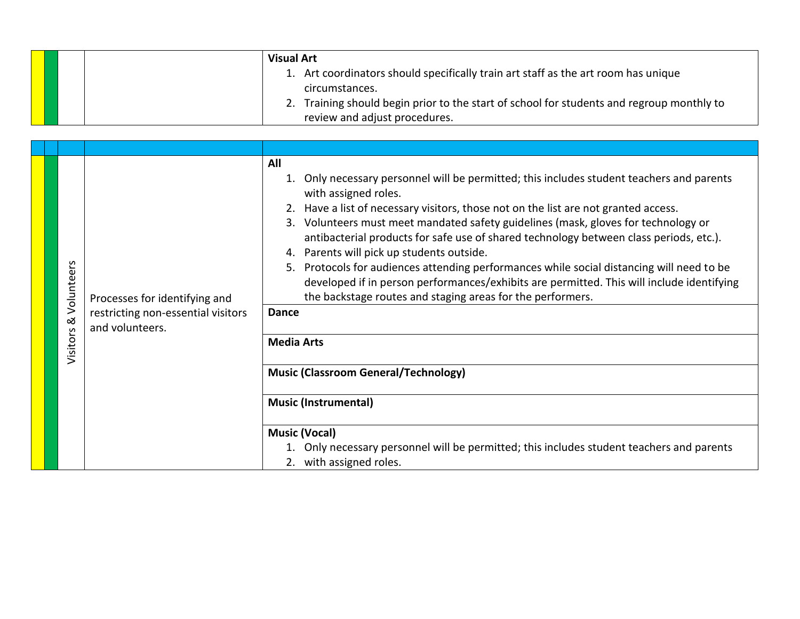|  | <b>Visual Art</b>                                                                         |
|--|-------------------------------------------------------------------------------------------|
|  | 1. Art coordinators should specifically train art staff as the art room has unique        |
|  | circumstances.                                                                            |
|  | 2. Training should begin prior to the start of school for students and regroup monthly to |
|  | review and adjust procedures.                                                             |

| Volunteers<br>$\infty$<br>Visitors | Processes for identifying and<br>restricting non-essential visitors<br>and volunteers. | All<br>1. Only necessary personnel will be permitted; this includes student teachers and parents<br>with assigned roles.<br>2. Have a list of necessary visitors, those not on the list are not granted access.<br>Volunteers must meet mandated safety guidelines (mask, gloves for technology or<br>3.<br>antibacterial products for safe use of shared technology between class periods, etc.).<br>Parents will pick up students outside.<br>4.<br>Protocols for audiences attending performances while social distancing will need to be<br>5.<br>developed if in person performances/exhibits are permitted. This will include identifying<br>the backstage routes and staging areas for the performers.<br><b>Dance</b> |
|------------------------------------|----------------------------------------------------------------------------------------|-------------------------------------------------------------------------------------------------------------------------------------------------------------------------------------------------------------------------------------------------------------------------------------------------------------------------------------------------------------------------------------------------------------------------------------------------------------------------------------------------------------------------------------------------------------------------------------------------------------------------------------------------------------------------------------------------------------------------------|
|                                    |                                                                                        | <b>Media Arts</b><br><b>Music (Classroom General/Technology)</b><br><b>Music (Instrumental)</b><br><b>Music (Vocal)</b><br>Only necessary personnel will be permitted; this includes student teachers and parents<br>2. with assigned roles.                                                                                                                                                                                                                                                                                                                                                                                                                                                                                  |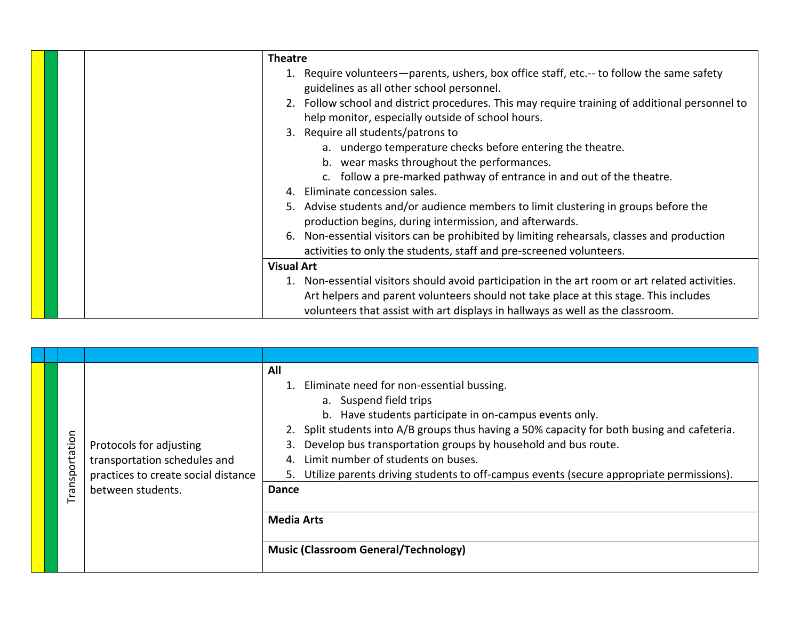| <b>Theatre</b>                                                                                  |
|-------------------------------------------------------------------------------------------------|
| 1. Require volunteers—parents, ushers, box office staff, etc.-- to follow the same safety       |
| guidelines as all other school personnel.                                                       |
| 2. Follow school and district procedures. This may require training of additional personnel to  |
| help monitor, especially outside of school hours.                                               |
| 3. Require all students/patrons to                                                              |
| a. undergo temperature checks before entering the theatre.                                      |
| b. wear masks throughout the performances.                                                      |
| c. follow a pre-marked pathway of entrance in and out of the theatre.                           |
| Eliminate concession sales.<br>4 <sup>1</sup>                                                   |
| 5. Advise students and/or audience members to limit clustering in groups before the             |
| production begins, during intermission, and afterwards.                                         |
| 6. Non-essential visitors can be prohibited by limiting rehearsals, classes and production      |
| activities to only the students, staff and pre-screened volunteers.                             |
| <b>Visual Art</b>                                                                               |
| 1. Non-essential visitors should avoid participation in the art room or art related activities. |
| Art helpers and parent volunteers should not take place at this stage. This includes            |
| volunteers that assist with art displays in hallways as well as the classroom.                  |

| Transportation | Protocols for adjusting<br>transportation schedules and<br>practices to create social distance<br>between students. | All<br>1. Eliminate need for non-essential bussing.<br>a. Suspend field trips<br>b. Have students participate in on-campus events only.<br>2. Split students into A/B groups thus having a 50% capacity for both busing and cafeteria.<br>Develop bus transportation groups by household and bus route.<br>3.<br>Limit number of students on buses.<br>Utilize parents driving students to off-campus events (secure appropriate permissions).<br>Dance<br><b>Media Arts</b><br><b>Music (Classroom General/Technology)</b> |
|----------------|---------------------------------------------------------------------------------------------------------------------|-----------------------------------------------------------------------------------------------------------------------------------------------------------------------------------------------------------------------------------------------------------------------------------------------------------------------------------------------------------------------------------------------------------------------------------------------------------------------------------------------------------------------------|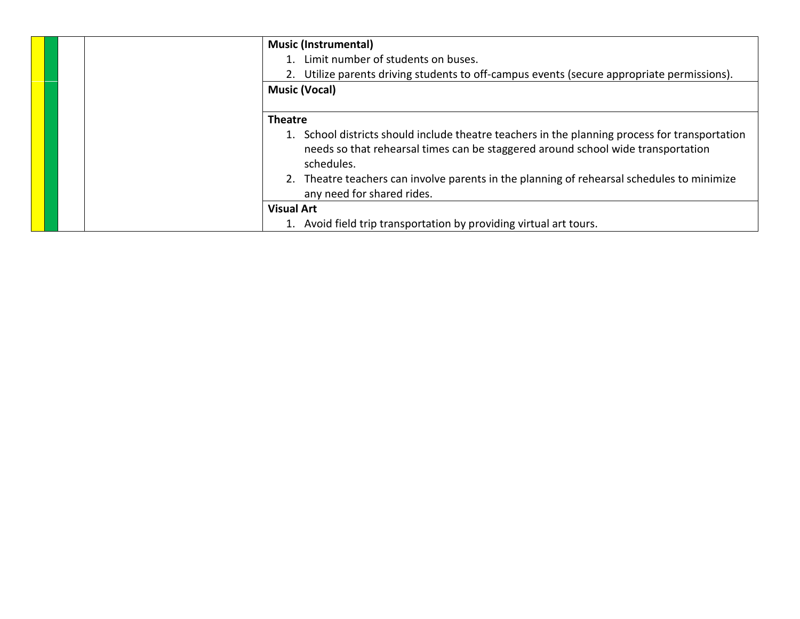| <b>Music (Instrumental)</b><br>1. Limit number of students on buses.<br>2. Utilize parents driving students to off-campus events (secure appropriate permissions).<br><b>Music (Vocal)</b>                                                                                                                                                     |
|------------------------------------------------------------------------------------------------------------------------------------------------------------------------------------------------------------------------------------------------------------------------------------------------------------------------------------------------|
| <b>Theatre</b><br>1. School districts should include theatre teachers in the planning process for transportation<br>needs so that rehearsal times can be staggered around school wide transportation<br>schedules.<br>2. Theatre teachers can involve parents in the planning of rehearsal schedules to minimize<br>any need for shared rides. |
| <b>Visual Art</b><br>1. Avoid field trip transportation by providing virtual art tours.                                                                                                                                                                                                                                                        |